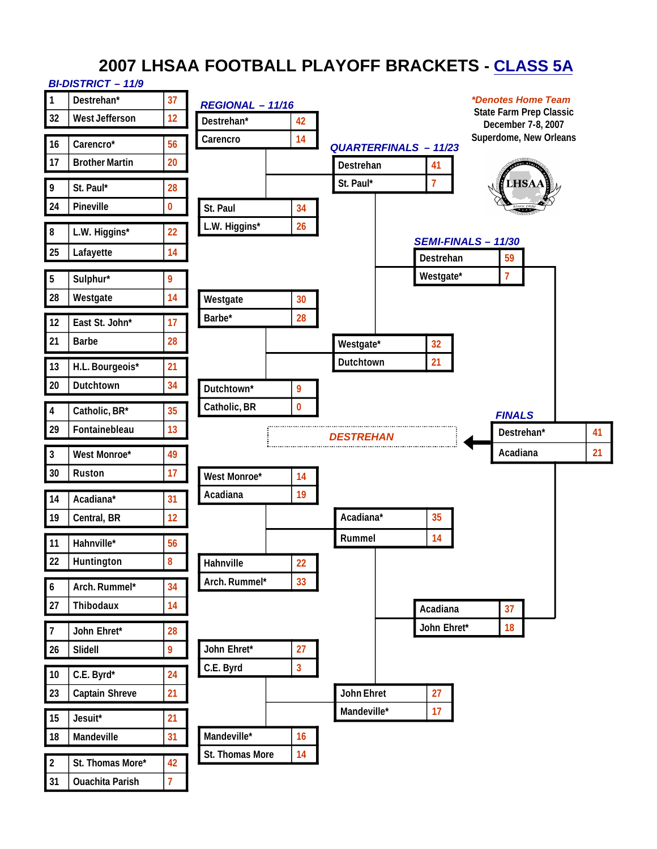# **2007 LHSAA FOOTBALL PLAYOFF BRACKETS - CLASS 5A**

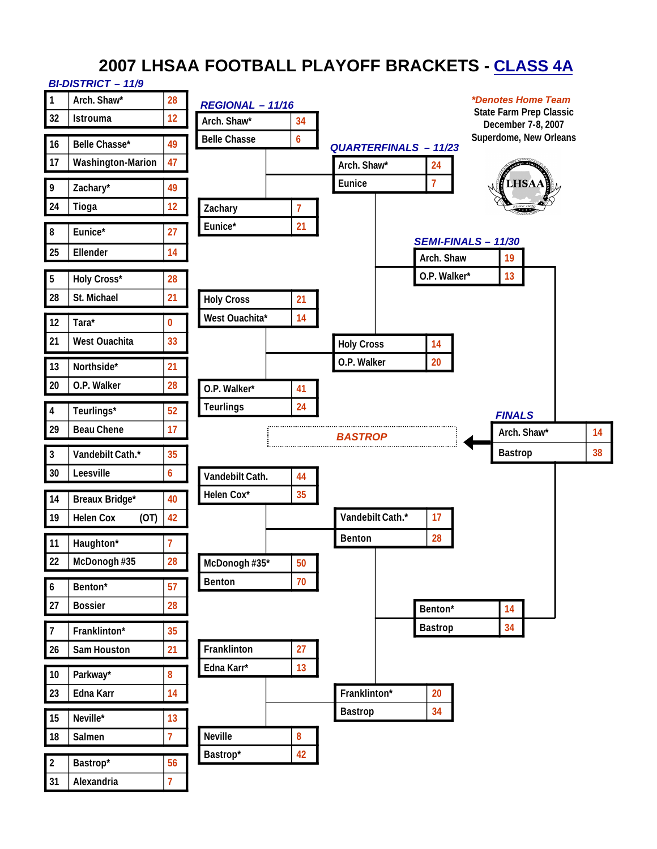# **2007 LHSAA FOOTBALL PLAYOFF BRACKETS - CLASS 4A**

#### *BI-DISTRICT – 11/9* **1 Arch. Shaw\* 28** *\*Denotes Home Team REGIONAL – 11/16* **State Farm Prep Classic 32 Istrouma 12 Arch. Shaw\* 34 December 7-8, 2007 Superdome, New OrleansBelle Chasse 6 16 Belle Chasse\* 49** *QUARTERFINALS – 11/23* **17 Washington-Marion 47 Arch. Shaw\* 24 Eunice 7 9 Zachary\* 49 24 Tioga 12 Zachary 7 Eunice\* 21 8 Eunice\* 27** *SEMI-FINALS – 11/30* **25 Ellender 14 Arch. Shaw 19 O.P. Walker\* 13 5 Holy Cross\* 28 28 St. Michael 21 Holy Cross 21 West Ouachita\* 14 12 Tara\* 0 21 West Ouachita 33 Holy Cross 14 O.P. Walker 20 13 Northside\* 21 20 O.P. Walker 28 O.P. Walker\* 41 Teurlings 24 4 Teurlings\* 52** *FINALS* **29 Beau Chene 17 Arch. Shaw\* 14** *BASTROP* **Bastrop 38 3 Vandebilt Cath.\* 35 30 Leesville 6 Vandebilt Cath. 44 Helen Cox\* 35 14 Breaux Bridge\* 40 19 Helen Cox (OT) 42 Vandebilt Cath.\* 17 Benton 28 11 Haughton\* 7 22 McDonogh #35 28 McDonogh #35\* 50 Benton 70 6 Benton\* 57 27 Bossier 28 Benton\* 14 Bastrop 34 7 Franklinton\* 35 26 Sam Houston 21 Franklinton 27 Edna Karr\* 13 10 Parkway\* 8 Franklinton\* 20 23 Edna Karr 14 Bastrop 34 15 Neville\* 13 18 Salmen 7 Neville 8 Bastrop\* 42 2 Bastrop\* 56**

**31 Alexandria 7**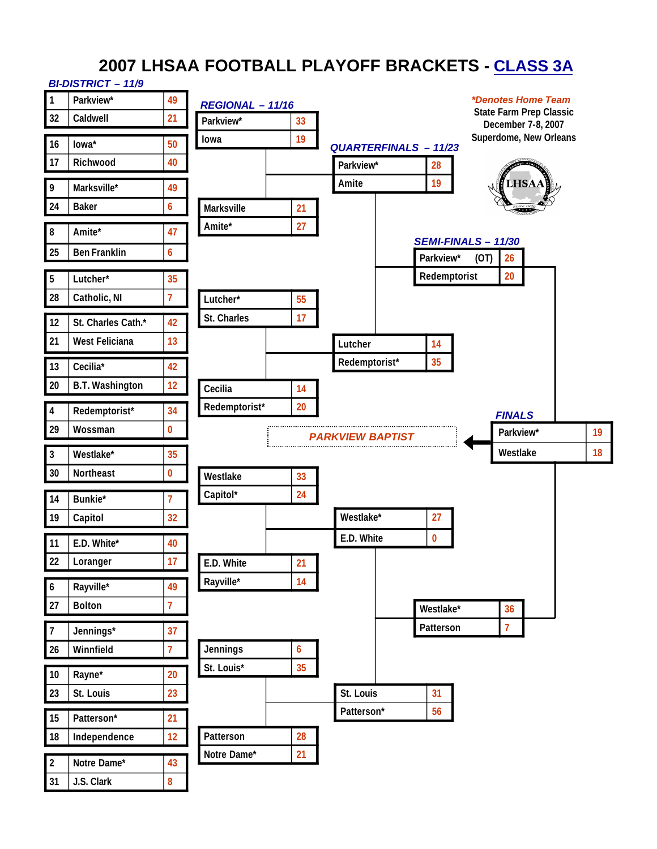# **2007 LHSAA FOOTBALL PLAYOFF BRACKETS - CLASS 3A**

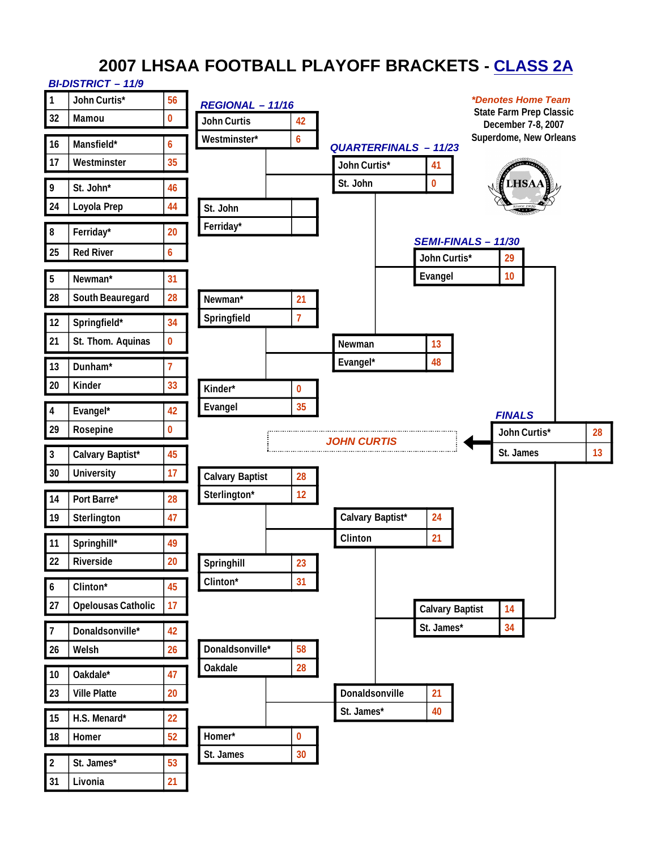# **2007 LHSAA FOOTBALL PLAYOFF BRACKETS - CLASS 2A**